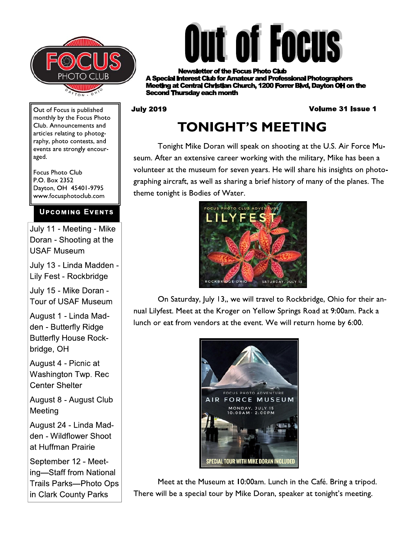



r of the Focus Photo Club **rest Club for Amateur and Professional Photographers** ng at Central Christian Church, 1200 Forrer Blvd, Davton OH on the **econd Thursday each month** 

#### **July 2019**

#### **Volume 31 Issue 1**

Out of Focus is published monthly by the Focus Photo Club. Announcements and articles relating to photography, photo contests, and events are strongly encouraged.

**Focus Photo Club** P.O. Box 2352 Dayton, OH 45401-9795 www.focusphotoclub.com

#### **UPCOMING EVENTS**

July 11 - Meeting - Mike Doran - Shooting at the **USAF Museum** 

July 13 - Linda Madden -Lily Fest - Rockbridge

July 15 - Mike Doran -Tour of USAF Museum

August 1 - Linda Madden - Butterfly Ridge **Butterfly House Rock**bridge, OH

August 4 - Picnic at Washington Twp. Rec **Center Shelter** 

August 8 - August Club Meeting

August 24 - Linda Madden - Wildflower Shoot at Huffman Prairie

September 12 - Meeting-Staff from National Trails Parks-Photo Ops in Clark County Parks

## **TONIGHT'S MEETING**

Tonight Mike Doran will speak on shooting at the U.S. Air Force Museum. After an extensive career working with the military, Mike has been a volunteer at the museum for seven years. He will share his insights on photographing aircraft, as well as sharing a brief history of many of the planes. The theme tonight is Bodies of Water.



On Saturday, July 13,, we will travel to Rockbridge, Ohio for their annual Lilyfest. Meet at the Kroger on Yellow Springs Road at 9:00am. Pack a lunch or eat from vendors at the event. We will return home by 6:00.



Meet at the Museum at 10:00am. Lunch in the Café. Bring a tripod. There will be a special tour by Mike Doran, speaker at tonight's meeting.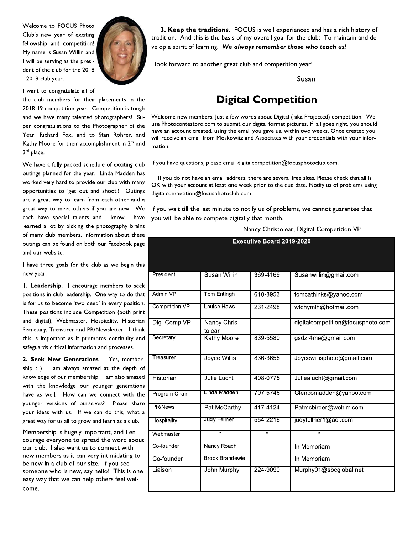Welcome to FOCUS Photo Club's new year of exciting fellowship and competition! My name is Susan Willin and I will be serving as the president of the club for the 2018 - 2019 club year.



I want to congratulate all of

the club members for their placements in the 2018-19 competition year. Competition is tough and we have many talented photographers! Super congratulations to the Photographer of the Year, Richard Fox, and to Stan Rohrer, and Kathy Moore for their accomplishment in 2<sup>nd</sup> and 3rd place.

We have a fully packed schedule of exciting club outings planned for the year. Linda Madden has worked very hard to provide our club with many opportunities to 'get out and shoot'! Outings are a great way to learn from each other and a great way to meet others if you are new. We each have special talents and I know I have learned a lot by picking the photography brains of many club members. Information about these outings can be found on both our Facebook page and our website.

I have three goals for the club as we begin this new year.

I. Leadership. I encourage members to seek positions in club leadership. One way to do that is for us to become 'two deep' in every position. These positions include Competition (both print and digital), Webmaster, Hospitality, Historian Secretary, Treasurer and PR/Newsletter. I think this is important as it promotes continuity and safeguards critical information and processes.

2. Seek New Generations. Yes, membership: ) I am always amazed at the depth of knowledge of our membership. I am also amazed with the knowledge our younger generations have as well. How can we connect with the younger versions of ourselves? Please share your ideas with us. If we can do this, what a great way for us all to grow and learn as a club.

Membership is hugely important, and I encourage everyone to spread the word about our club. I also want us to connect with new members as it can very intimidating to be new in a club of our size. If you see someone who is new, say hello! This is one easy way that we can help others feel welcome.

3. Keep the traditions. FOCUS is well experienced and has a rich history of tradition. And this is the basis of my overall goal for the club: To maintain and develop a spirit of learning. We always remember those who teach us!

I look forward to another great club and competition year!

Susan

#### **Digital Competition**

Welcome new members. Just a few words about Digital (aka Projected) competition. We use Photocontestpro.com to submit our digital format pictures. If all goes right, you should have an account created, using the email you gave us, within two weeks. Once created you will receive an email from Moskowitz and Associates with your credentials with your information.

If you have questions, please email digitalcompetition@focusphotoclub.com.

If you do not have an email address, there are several free sites. Please check that all is OK with your account at least one week prior to the due date. Notify us of problems using digitalcompetition@focusphotoclub.com.

If you wait till the last minute to notify us of problems, we cannot guarantee that you will be able to compete digitally that month.

#### Nancy Christolear, Digital Competition VP

| <b>Executive Board 2019-2020</b> |                        |                |                                   |
|----------------------------------|------------------------|----------------|-----------------------------------|
|                                  |                        |                |                                   |
|                                  |                        |                |                                   |
| President                        | Susan Willin           | 369-4169       | Susanwillin@gmail.com             |
|                                  |                        |                |                                   |
| Admin VP                         | Tom Entingh            | 610-8953       | tomcathinks@yahoo.com             |
| Competition VP                   | Louise Haws            | 231-2498       | wtchymlh@hotmail.com              |
| Dig. Comp VP                     | Nancy Chris-<br>tolear |                | digitalcompetition@focusphoto.com |
| Secretary                        | Kathy Moore            | 839-5580       | gsdzr4me@gmail.com                |
| Treasurer                        | Joyce Willis           | 836-3656       | Joycewillisphoto@gmail.com        |
| Historian                        | Julie Lucht            | 408-0775       | Juliealucht@gmail.com             |
| Program Chair                    | Linda Madden           | 707-5746       | Glencomadden@yahoo.com            |
| <b>PR/News</b>                   | Pat McCarthy           | 417-4124       | Patmcbirder@woh.rr.com            |
| Hospitality                      | Judy Fellner           | 554-2216       | judyfellner1@aol.com              |
| Webmaster                        | $\overline{a}$         | $\overline{a}$ | $\overline{a}$                    |
| Co-founder                       | Nancy Roach            |                | In Memoriam                       |
| Co-founder                       | <b>Brook Brandewie</b> |                | In Memoriam                       |
| Liaison                          | John Murphy            | 224-9090       | Murphy01@sbcglobal.net            |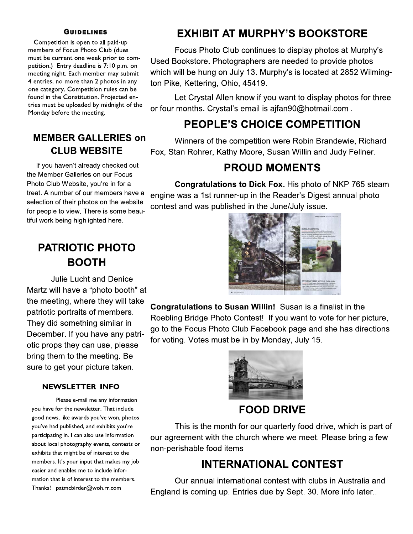#### **GUIDELINES**

Competition is open to all paid-up members of Focus Photo Club (dues must be current one week prior to competition.) Entry deadline is 7:10 p.m. on meeting night. Each member may submit 4 entries, no more than 2 photos in any one category. Competition rules can be found in the Constitution. Projected entries must be uploaded by midnight of the Monday before the meeting.

#### **MEMBER GALLERIES on CLUB WEBSITE**

If you haven't already checked out the Member Galleries on our Focus Photo Club Website, you're in for a treat. A number of our members have a selection of their photos on the website for people to view. There is some beautiful work being highlighted here.

## **PATRIOTIC PHOTO BOOTH**

**Julie Lucht and Denice** Martz will have a "photo booth" at the meeting, where they will take patriotic portraits of members. They did something similar in December. If you have any patriotic props they can use, please bring them to the meeting. Be sure to get your picture taken.

#### **NEWSLETTER INFO**

Please e-mail me any information you have for the newsletter. That include good news, like awards you've won, photos you've had published, and exhibits you're participating in. I can also use information about local photography events, contests or exhibits that might be of interest to the members. It's your input that makes my job easier and enables me to include information that is of interest to the members. Thanks! patmcbirder@woh.rr.com

## **EXHIBIT AT MURPHY'S BOOKSTORE**

Focus Photo Club continues to display photos at Murphy's Used Bookstore. Photographers are needed to provide photos which will be hung on July 13. Murphy's is located at 2852 Wilmington Pike, Kettering, Ohio, 45419.

Let Crystal Allen know if you want to display photos for three or four months. Crystal's email is ajfan90@hotmail.com.

## **PEOPLE'S CHOICE COMPETITION**

Winners of the competition were Robin Brandewie, Richard Fox, Stan Rohrer, Kathy Moore, Susan Willin and Judy Fellner.

#### **PROUD MOMENTS**

Congratulations to Dick Fox. His photo of NKP 765 steam engine was a 1st runner-up in the Reader's Digest annual photo contest and was published in the June/July issue.



**Congratulations to Susan Willin!** Susan is a finalist in the Roebling Bridge Photo Contest! If you want to vote for her picture, go to the Focus Photo Club Facebook page and she has directions for voting. Votes must be in by Monday, July 15.



#### **FOOD DRIVE**

This is the month for our quarterly food drive, which is part of our agreement with the church where we meet. Please bring a few non-perishable food items

## **INTERNATIONAL CONTEST**

Our annual international contest with clubs in Australia and England is coming up. Entries due by Sept. 30. More info later..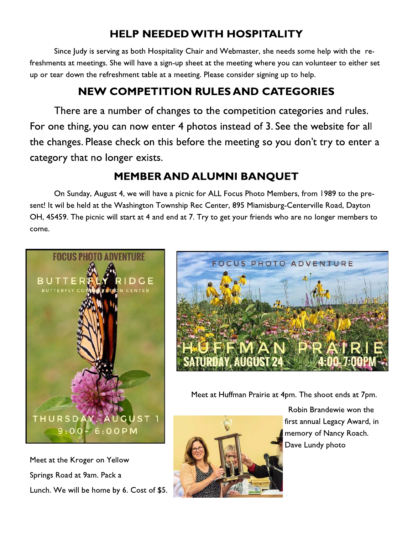## **HELP NEEDED WITH HOSPITALITY**

Since Judy is serving as both Hospitality Chair and Webmaster, she needs some help with the refreshments at meetings. She will have a sign-up sheet at the meeting where you can volunteer to either set up or tear down the refreshment table at a meeting. Please consider signing up to help.

## **NEW COMPETITION RULES AND CATEGORIES**

There are a number of changes to the competition categories and rules. For one thing, you can now enter 4 photos instead of 3. See the website for all the changes. Please check on this before the meeting so you don't try to enter a category that no longer exists.

## **MEMBER AND ALUMNI BANQUET**

On Sunday, August 4, we will have a picnic for ALL Focus Photo Members, from 1989 to the present! It wil be held at the Washington Township Rec Center, 895 Miamisburg-Centerville Road, Dayton OH, 45459. The picnic will start at 4 and end at 7. Try to get your friends who are no longer members to come.



Meet at the Kroger on Yellow Springs Road at 9am. Pack a Lunch. We will be home by 6. Cost of \$5.



Meet at Huffman Prairie at 4pm. The shoot ends at 7pm.



Robin Brandewie won the first annual Legacy Award, in memory of Nancy Roach. Dave Lundy photo